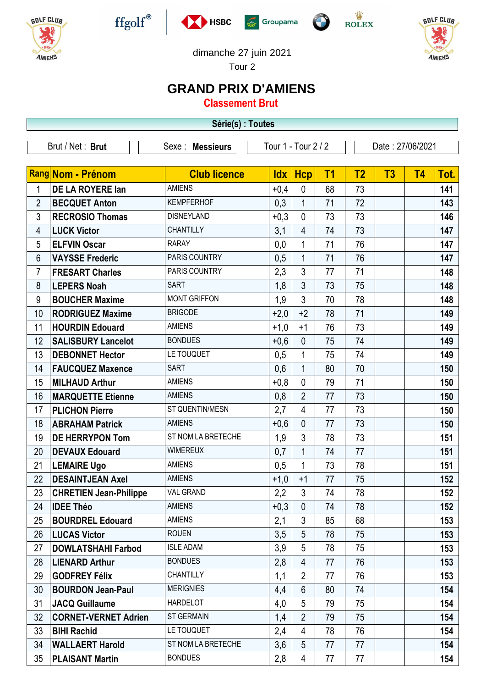

Г











dimanche 27 juin 2021

Tour 2

## **GRAND PRIX D'AMIENS**

**Classement Brut**

| Série(s) : Toutes |                               |                     |                     |                |           |                  |    |                |      |  |
|-------------------|-------------------------------|---------------------|---------------------|----------------|-----------|------------------|----|----------------|------|--|
|                   | Brut / Net: Brut              | Sexe : Messieurs    | Tour 1 - Tour 2 / 2 |                |           | Date: 27/06/2021 |    |                |      |  |
|                   |                               |                     |                     |                |           |                  |    |                |      |  |
|                   | <b>Rang Nom - Prénom</b>      | <b>Club licence</b> | <b>Idx</b>          | <b>Hcp</b>     | <b>T1</b> | T <sub>2</sub>   | T3 | T <sub>4</sub> | Tot. |  |
| 1                 | DE LA ROYERE lan              | <b>AMIENS</b>       | $+0,4$              | $\mathbf 0$    | 68        | 73               |    |                | 141  |  |
| $\overline{2}$    | <b>BECQUET Anton</b>          | <b>KEMPFERHOF</b>   | 0,3                 | $\mathbf{1}$   | 71        | 72               |    |                | 143  |  |
| 3                 | <b>RECROSIO Thomas</b>        | <b>DISNEYLAND</b>   | $+0,3$              | $\mathbf 0$    | 73        | 73               |    |                | 146  |  |
| 4                 | <b>LUCK Victor</b>            | <b>CHANTILLY</b>    | 3,1                 | $\overline{4}$ | 74        | 73               |    |                | 147  |  |
| 5                 | <b>ELFVIN Oscar</b>           | <b>RARAY</b>        | 0,0                 | 1              | 71        | 76               |    |                | 147  |  |
| 6                 | <b>VAYSSE Frederic</b>        | PARIS COUNTRY       | 0,5                 | $\mathbf{1}$   | 71        | 76               |    |                | 147  |  |
| $\overline{7}$    | <b>FRESART Charles</b>        | PARIS COUNTRY       | 2,3                 | 3              | 77        | 71               |    |                | 148  |  |
| 8                 | <b>LEPERS Noah</b>            | <b>SART</b>         | 1,8                 | 3              | 73        | 75               |    |                | 148  |  |
| 9                 | <b>BOUCHER Maxime</b>         | <b>MONT GRIFFON</b> | 1,9                 | 3              | 70        | 78               |    |                | 148  |  |
| 10                | <b>RODRIGUEZ Maxime</b>       | <b>BRIGODE</b>      | $+2,0$              | $+2$           | 78        | 71               |    |                | 149  |  |
| 11                | <b>HOURDIN Edouard</b>        | <b>AMIENS</b>       | $+1,0$              | $+1$           | 76        | 73               |    |                | 149  |  |
| 12                | <b>SALISBURY Lancelot</b>     | <b>BONDUES</b>      | $+0,6$              | $\mathbf{0}$   | 75        | 74               |    |                | 149  |  |
| 13                | <b>DEBONNET Hector</b>        | LE TOUQUET          | 0,5                 | 1              | 75        | 74               |    |                | 149  |  |
| 14                | <b>FAUCQUEZ Maxence</b>       | <b>SART</b>         | 0,6                 | $\mathbf 1$    | 80        | 70               |    |                | 150  |  |
| 15                | <b>MILHAUD Arthur</b>         | <b>AMIENS</b>       | $+0,8$              | $\mathbf 0$    | 79        | 71               |    |                | 150  |  |
| 16                | <b>MARQUETTE Etienne</b>      | <b>AMIENS</b>       | 0,8                 | $\overline{2}$ | 77        | 73               |    |                | 150  |  |
| 17                | <b>PLICHON Pierre</b>         | ST QUENTIN/MESN     | 2,7                 | $\overline{4}$ | 77        | 73               |    |                | 150  |  |
| 18                | <b>ABRAHAM Patrick</b>        | <b>AMIENS</b>       | $+0,6$              | $\mathbf{0}$   | 77        | 73               |    |                | 150  |  |
| 19                | <b>DE HERRYPON Tom</b>        | ST NOM LA BRETECHE  | 1,9                 | 3              | 78        | 73               |    |                | 151  |  |
| 20                | <b>DEVAUX Edouard</b>         | <b>WIMEREUX</b>     | 0,7                 | $\mathbf{1}$   | 74        | 77               |    |                | 151  |  |
| 21                | <b>LEMAIRE Ugo</b>            | <b>AMIENS</b>       | 0,5                 | 1              | 73        | 78               |    |                | 151  |  |
| 22                | <b>DESAINTJEAN Axel</b>       | <b>AMIENS</b>       | $+1,0$              | $+1$           | 77        | 75               |    |                | 152  |  |
| 23                | <b>CHRETIEN Jean-Philippe</b> | <b>VAL GRAND</b>    | 2,2                 | 3              | 74        | 78               |    |                | 152  |  |
| 24                | <b>IDEE Théo</b>              | <b>AMIENS</b>       | $+0,3$              | $\mathbf{0}$   | 74        | 78               |    |                | 152  |  |
| 25                | <b>BOURDREL Edouard</b>       | <b>AMIENS</b>       | 2,1                 | 3              | 85        | 68               |    |                | 153  |  |
| 26                | <b>LUCAS Victor</b>           | <b>ROUEN</b>        | 3,5                 | 5              | 78        | 75               |    |                | 153  |  |
| 27                | <b>DOWLATSHAHI Farbod</b>     | <b>ISLE ADAM</b>    | 3,9                 | 5              | 78        | 75               |    |                | 153  |  |
| 28                | <b>LIENARD Arthur</b>         | <b>BONDUES</b>      | 2,8                 | 4              | 77        | 76               |    |                | 153  |  |
| 29                | <b>GODFREY Félix</b>          | <b>CHANTILLY</b>    | 1,1                 | $\overline{2}$ | 77        | 76               |    |                | 153  |  |
| 30                | <b>BOURDON Jean-Paul</b>      | <b>MERIGNIES</b>    | 4,4                 | 6              | 80        | 74               |    |                | 154  |  |
| 31                | <b>JACQ Guillaume</b>         | <b>HARDELOT</b>     | 4,0                 | 5              | 79        | 75               |    |                | 154  |  |
| 32                | <b>CORNET-VERNET Adrien</b>   | <b>ST GERMAIN</b>   | 1,4                 | $\overline{2}$ | 79        | 75               |    |                | 154  |  |
| 33                | <b>BIHI Rachid</b>            | LE TOUQUET          | 2,4                 | 4              | 78        | 76               |    |                | 154  |  |
| 34                | <b>WALLAERT Harold</b>        | ST NOM LA BRETECHE  | 3,6                 | 5              | 77        | 77               |    |                | 154  |  |
| 35                | <b>PLAISANT Martin</b>        | <b>BONDUES</b>      | 2,8                 | 4              | 77        | 77               |    |                | 154  |  |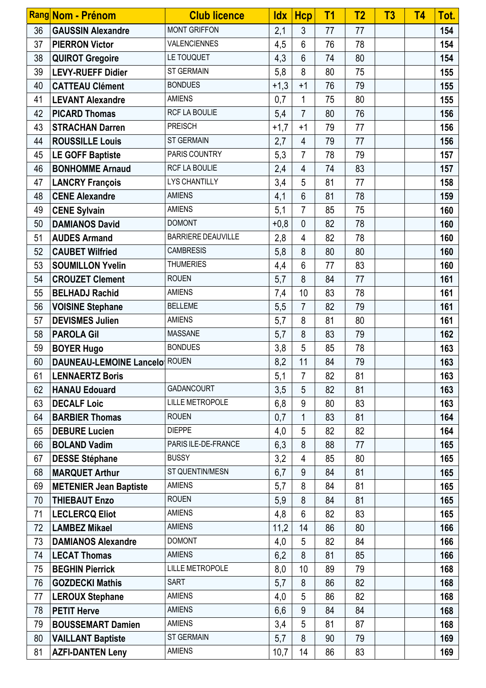|          | Rang Nom - Prénom                                     | <b>Club licence</b>                 | <b>Idx</b> | <b>Hcp</b>     | T <sub>1</sub> | <b>T2</b> | T3 | <b>T4</b> | Tot.       |
|----------|-------------------------------------------------------|-------------------------------------|------------|----------------|----------------|-----------|----|-----------|------------|
| 36       | <b>GAUSSIN Alexandre</b>                              | <b>MONT GRIFFON</b>                 | 2,1        | 3              | 77             | 77        |    |           | 154        |
| 37       | <b>PIERRON Victor</b>                                 | <b>VALENCIENNES</b>                 | 4,5        | 6              | 76             | 78        |    |           | 154        |
| 38       | <b>QUIROT Gregoire</b>                                | LE TOUQUET                          | 4,3        | 6              | 74             | 80        |    |           | 154        |
| 39       | <b>LEVY-RUEFF Didier</b>                              | ST GERMAIN                          | 5,8        | 8              | 80             | 75        |    |           | 155        |
| 40       | <b>CATTEAU Clément</b>                                | <b>BONDUES</b>                      | $+1,3$     | $+1$           | 76             | 79        |    |           | 155        |
| 41       | <b>LEVANT Alexandre</b>                               | <b>AMIENS</b>                       | 0,7        | 1              | 75             | 80        |    |           | 155        |
| 42       | <b>PICARD Thomas</b>                                  | RCF LA BOULIE                       | 5,4        | $\overline{7}$ | 80             | 76        |    |           | 156        |
| 43       | <b>STRACHAN Darren</b>                                | <b>PREISCH</b>                      | $+1,7$     | $+1$           | 79             | 77        |    |           | 156        |
| 44       | <b>ROUSSILLE Louis</b>                                | <b>ST GERMAIN</b>                   | 2,7        | $\overline{4}$ | 79             | 77        |    |           | 156        |
| 45       | <b>LE GOFF Baptiste</b>                               | PARIS COUNTRY                       | 5,3        | $\overline{7}$ | 78             | 79        |    |           | 157        |
| 46       | <b>BONHOMME Arnaud</b>                                | RCF LA BOULIE                       | 2,4        | 4              | 74             | 83        |    |           | 157        |
| 47       | <b>LANCRY François</b>                                | <b>LYS CHANTILLY</b>                | 3,4        | 5              | 81             | 77        |    |           | 158        |
| 48       | <b>CENE Alexandre</b>                                 | <b>AMIENS</b>                       | 4,1        | $6\phantom{a}$ | 81             | 78        |    |           | 159        |
| 49       | <b>CENE Sylvain</b>                                   | <b>AMIENS</b>                       | 5,1        | $\overline{7}$ | 85             | 75        |    |           | 160        |
| 50       | <b>DAMIANOS David</b>                                 | <b>DOMONT</b>                       | $+0,8$     | $\overline{0}$ | 82             | 78        |    |           | 160        |
| 51       | <b>AUDES Armand</b>                                   | <b>BARRIERE DEAUVILLE</b>           | 2,8        | 4              | 82             | 78        |    |           | 160        |
| 52       | <b>CAUBET Wilfried</b>                                | <b>CAMBRESIS</b>                    | 5,8        | 8              | 80             | 80        |    |           | 160        |
| 53       | <b>SOUMILLON Yvelin</b>                               | <b>THUMERIES</b>                    | 4,4        | 6              | 77             | 83        |    |           | 160        |
| 54       | <b>CROUZET Clement</b>                                | <b>ROUEN</b>                        | 5,7        | 8              | 84             | 77        |    |           | 161        |
| 55       | <b>BELHADJ Rachid</b>                                 | <b>AMIENS</b>                       | 7,4        | 10             | 83             | 78        |    |           | 161        |
| 56       | <b>VOISINE Stephane</b>                               | <b>BELLEME</b>                      | 5,5        | $\overline{7}$ | 82             | 79        |    |           | 161        |
| 57       | <b>DEVISMES Julien</b>                                | <b>AMIENS</b>                       | 5,7        | 8              | 81             | 80        |    |           | 161        |
| 58       | <b>PAROLA Gil</b>                                     | <b>MASSANE</b>                      | 5,7        | 8              | 83             | 79        |    |           | 162        |
| 59       | <b>BOYER Hugo</b>                                     | <b>BONDUES</b>                      | 3,8        | 5              | 85             | 78        |    |           | 163        |
| 60       | <b>DAUNEAU-LEMOINE Lancelo ROUEN</b>                  |                                     | 8,2        | 11             | 84             | 79        |    |           | 163        |
| 61       | <b>LENNAERTZ Boris</b>                                |                                     | 5,1        | $\overline{7}$ | 82             | 81        |    |           | 163        |
| 62       | <b>HANAU Edouard</b>                                  | <b>GADANCOURT</b>                   | 3,5        | 5              | 82             | 81        |    |           | 163        |
| 63       | <b>DECALF Loic</b>                                    | <b>LILLE METROPOLE</b>              | 6,8        | 9              | 80             | 83        |    |           | 163        |
| 64       | <b>BARBIER Thomas</b>                                 | <b>ROUEN</b>                        | 0,7        | 1              | 83             | 81        |    |           | 164        |
| 65       | <b>DEBURE Lucien</b>                                  | <b>DIEPPE</b>                       | 4,0        | 5              | 82             | 82        |    |           | 164        |
| 66       | <b>BOLAND Vadim</b>                                   | PARIS ILE-DE-FRANCE<br><b>BUSSY</b> | 6,3        | 8              | 88             | 77        |    |           | 165        |
| 67       | <b>DESSE Stéphane</b>                                 | ST QUENTIN/MESN                     | 3,2        | 4              | 85             | 80        |    |           | 165        |
| 68<br>69 | <b>MARQUET Arthur</b>                                 | <b>AMIENS</b>                       | 6,7        | 9<br>8         | 84<br>84       | 81<br>81  |    |           | 165        |
| 70       | <b>METENIER Jean Baptiste</b><br><b>THIEBAUT Enzo</b> | <b>ROUEN</b>                        | 5,7        | 8              | 84             | 81        |    |           | 165<br>165 |
| 71       | <b>LECLERCQ Eliot</b>                                 | <b>AMIENS</b>                       | 5,9<br>4,8 | 6              | 82             | 83        |    |           | 165        |
| 72       | <b>LAMBEZ Mikael</b>                                  | <b>AMIENS</b>                       | 11,2       | 14             | 86             | 80        |    |           | 166        |
| 73       | <b>DAMIANOS Alexandre</b>                             | <b>DOMONT</b>                       | 4,0        | 5              | 82             | 84        |    |           | 166        |
| 74       | <b>LECAT Thomas</b>                                   | <b>AMIENS</b>                       | 6,2        | 8              | 81             | 85        |    |           | 166        |
| 75       | <b>BEGHIN Pierrick</b>                                | <b>LILLE METROPOLE</b>              | 8,0        | 10             | 89             | 79        |    |           | 168        |
| 76       | <b>GOZDECKI Mathis</b>                                | <b>SART</b>                         | 5,7        | 8              | 86             | 82        |    |           | 168        |
| 77       | <b>LEROUX Stephane</b>                                | <b>AMIENS</b>                       | 4,0        | 5              | 86             | 82        |    |           | 168        |
| 78       | <b>PETIT Herve</b>                                    | <b>AMIENS</b>                       | 6,6        | 9              | 84             | 84        |    |           | 168        |
| 79       | <b>BOUSSEMART Damien</b>                              | <b>AMIENS</b>                       | 3,4        | 5              | 81             | 87        |    |           | 168        |
| 80       | <b>VAILLANT Baptiste</b>                              | <b>ST GERMAIN</b>                   | 5,7        | 8              | 90             | 79        |    |           | 169        |
| 81       | <b>AZFI-DANTEN Leny</b>                               | <b>AMIENS</b>                       | 10,7       | 14             | 86             | 83        |    |           | 169        |
|          |                                                       |                                     |            |                |                |           |    |           |            |